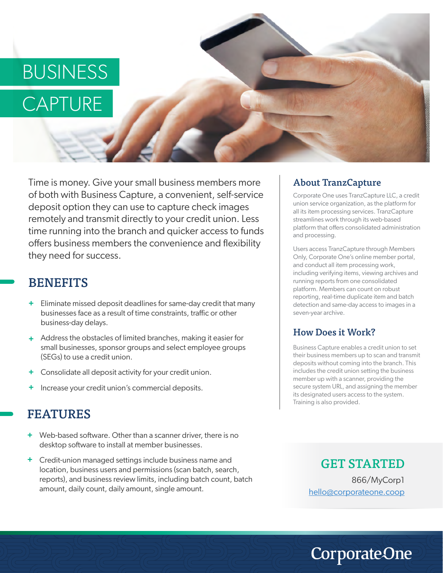# BUSINESS

# CAPTURE

Time is money. Give your small business members more of both with Business Capture, a convenient, self-service deposit option they can use to capture check images remotely and transmit directly to your credit union. Less time running into the branch and quicker access to funds offers business members the convenience and flexibility they need for success.

### **BENEFITS**

- Eliminate missed deposit deadlines for same-day credit that many **+** businesses face as a result of time constraints, traffic or other business-day delays.
- Address the obstacles of limited branches, making it easier for **+** small businesses, sponsor groups and select employee groups (SEGs) to use a credit union.
- Consolidate all deposit activity for your credit union. **+**
- Increase your credit union's commercial deposits. **+**

### FEATURES

- + Web-based software. Other than a scanner driver, there is no desktop software to install at member businesses.
- Credit-union managed settings include business name and **+** location, business users and permissions (scan batch, search, reports), and business review limits, including batch count, batch amount, daily count, daily amount, single amount.

#### About TranzCapture

Corporate One uses TranzCapture LLC, a credit union service organization, as the platform for all its item processing services. TranzCapture streamlines work through its web-based platform that offers consolidated administration and processing.

Users access TranzCapture through Members Only, Corporate One's online member portal, and conduct all item processing work, including verifying items, viewing archives and running reports from one consolidated platform. Members can count on robust reporting, real-time duplicate item and batch detection and same-day access to images in a seven-year archive.

#### How Does it Work?

Business Capture enables a credit union to set their business members up to scan and transmit deposits without coming into the branch. This includes the credit union setting the business member up with a scanner, providing the secure system URL, and assigning the member its designated users access to the system. Training is also provided.

GET STARTED 866/MyCorp1 hello@corporateone.coop

## **CorporateOne**